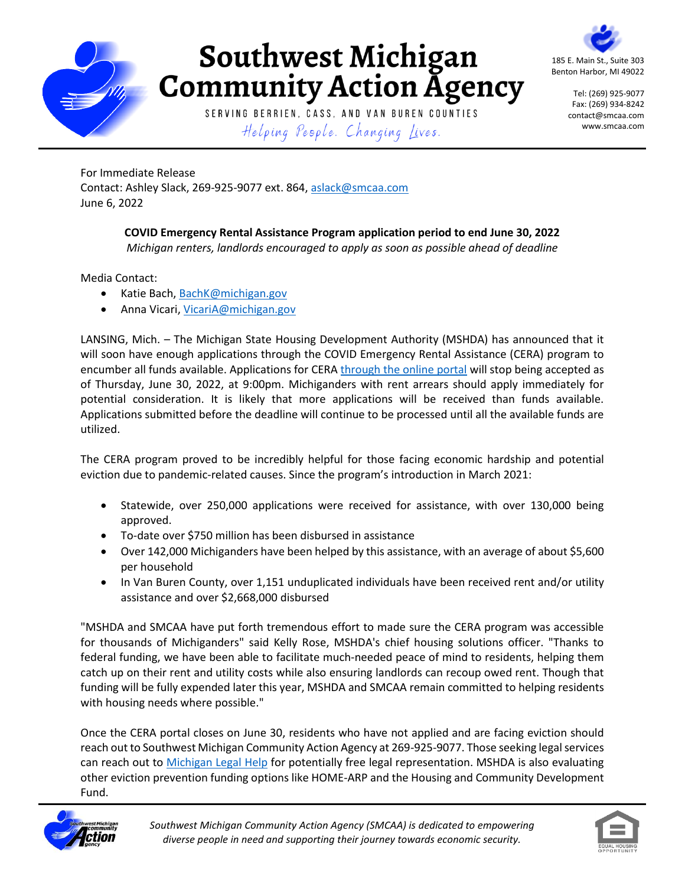

## **Southwest Michigan<br>Community Action Agency**

185 E. Main St., Suite 303 Benton Harbor, MI 49022

> Tel: (269) 925-9077 Fax: (269) 934-8242 contact@smcaa.com www.smcaa.com

SERVING BERRIEN, CASS, AND VAN BUREN COUNTIES Helping People. Changing Lives.

For Immediate Release Contact: Ashley Slack, 269-925-9077 ext. 864, [aslack@smcaa.com](mailto:aslack@smcaa.com) June 6, 2022

## **COVID Emergency Rental Assistance Program application period to end June 30, 2022** *Michigan renters, landlords encouraged to apply as soon as possible ahead of deadline*

Media Contact:

- · Katie Bach, [BachK@michigan.gov](mailto:BachK@michigan.gov)
- Anna Vicari, [VicariA@michigan.gov](mailto:VicariA@michigan.gov)

LANSING, Mich. – The Michigan State Housing Development Authority (MSHDA) has announced that it will soon have enough applications through the COVID Emergency Rental Assistance (CERA) program to encumber all funds available. Applications for CERA [through the online portal](https://ceraapp.michigan.gov/) will stop being accepted as of Thursday, June 30, 2022, at 9:00pm. Michiganders with rent arrears should apply immediately for potential consideration. It is likely that more applications will be received than funds available. Applications submitted before the deadline will continue to be processed until all the available funds are utilized.

The CERA program proved to be incredibly helpful for those facing economic hardship and potential eviction due to pandemic-related causes. Since the program's introduction in March 2021:

- Statewide, over 250,000 applications were received for assistance, with over 130,000 being approved.
- To-date over \$750 million has been disbursed in assistance
- Over 142,000 Michiganders have been helped by this assistance, with an average of about \$5,600 per household
- In Van Buren County, over 1,151 unduplicated individuals have been received rent and/or utility assistance and over \$2,668,000 disbursed

"MSHDA and SMCAA have put forth tremendous effort to made sure the CERA program was accessible for thousands of Michiganders" said Kelly Rose, MSHDA's chief housing solutions officer. "Thanks to federal funding, we have been able to facilitate much-needed peace of mind to residents, helping them catch up on their rent and utility costs while also ensuring landlords can recoup owed rent. Though that funding will be fully expended later this year, MSHDA and SMCAA remain committed to helping residents with housing needs where possible."

Once the CERA portal closes on June 30, residents who have not applied and are facing eviction should reach out to Southwest Michigan Community Action Agency at 269-925-9077. Those seeking legal services can reach out to [Michigan Legal Help](https://nam11.safelinks.protection.outlook.com/?url=http%3A%2F%2Fwww.michiganlegalhelp.org%2F&data=05%7C01%7Cburgess%40airfoilgroup.com%7C0470fe9265a74095b4aa08da39adcc59%7C8a807f7c207d42fd8c71a4aa0899c6f6%7C1%7C1%7C637885715876538698%7CUnknown%7CTWFpbGZsb3d8eyJWIjoiMC4wLjAwMDAiLCJQIjoiV2luMzIiLCJBTiI6Ik1haWwiLCJXVCI6Mn0%3D%7C2000%7C%7C%7C&sdata=b5c1UX5dBTbC4GAUXMMuBmuW4dsCRH9VOTmOSZvCbVg%3D&reserved=0) for potentially free legal representation. MSHDA is also evaluating other eviction prevention funding options like HOME-ARP and the Housing and Community Development Fund.